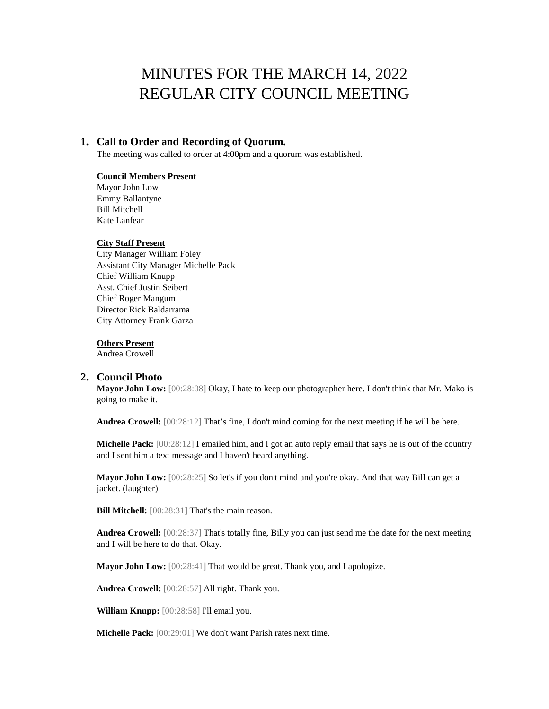# MINUTES FOR THE MARCH 14, 2022 REGULAR CITY COUNCIL MEETING

## **1. Call to Order and Recording of Quorum.**

The meeting was called to order at 4:00pm and a quorum was established.

#### **Council Members Present**

Mayor John Low Emmy Ballantyne Bill Mitchell Kate Lanfear

#### **City Staff Present**

City Manager William Foley Assistant City Manager Michelle Pack Chief William Knupp Asst. Chief Justin Seibert Chief Roger Mangum Director Rick Baldarrama City Attorney Frank Garza

#### **Others Present**

Andrea Crowell

#### **2. Council Photo**

**Mayor John Low:** [00:28:08] Okay, I hate to keep our photographer here. I don't think that Mr. Mako is going to make it.

**Andrea Crowell:** [00:28:12] That's fine, I don't mind coming for the next meeting if he will be here.

**Michelle Pack:**  $[00:28:12]$  I emailed him, and I got an auto reply email that says he is out of the country and I sent him a text message and I haven't heard anything.

**Mayor John Low:** [00:28:25] So let's if you don't mind and you're okay. And that way Bill can get a jacket. (laughter)

**Bill Mitchell:** [00:28:31] That's the main reason.

**Andrea Crowell:** [00:28:37] That's totally fine, Billy you can just send me the date for the next meeting and I will be here to do that. Okay.

**Mayor John Low:** [00:28:41] That would be great. Thank you, and I apologize.

**Andrea Crowell:** [00:28:57] All right. Thank you.

**William Knupp:** [00:28:58] I'll email you.

**Michelle Pack:** [00:29:01] We don't want Parish rates next time.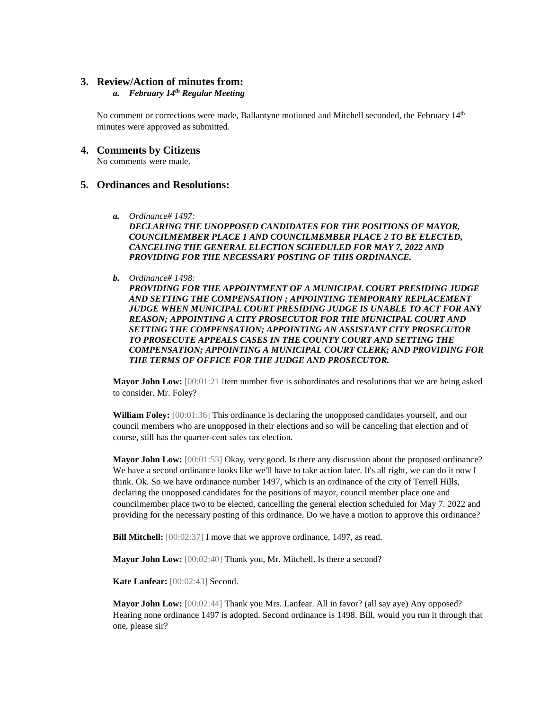### **3. Review/Action of minutes from:**

#### *a. February 14th Regular Meeting*

No comment or corrections were made, Ballantyne motioned and Mitchell seconded, the February 14<sup>th</sup> minutes were approved as submitted.

#### **4. Comments by Citizens**

No comments were made.

### **5. Ordinances and Resolutions:**

*a. Ordinance# 1497:* 

*DECLARING THE UNOPPOSED CANDIDATES FOR THE POSITIONS OF MAYOR, COUNCILMEMBER PLACE 1 AND COUNCILMEMBER PLACE 2 TO BE ELECTED, CANCELING THE GENERAL ELECTION SCHEDULED FOR MAY 7, 2022 AND PROVIDING FOR THE NECESSARY POSTING OF THIS ORDINANCE.*

*b. Ordinance# 1498:* 

*PROVIDING FOR THE APPOINTMENT OF A MUNICIPAL COURT PRESIDING JUDGE AND SETTING THE COMPENSATION ; APPOINTING TEMPORARY REPLACEMENT JUDGE WHEN MUNICIPAL COURT PRESIDING JUDGE IS UNABLE TO ACT FOR ANY REASON; APPOINTING A CITY PROSECUTOR FOR THE MUNICIPAL COURT AND SETTING THE COMPENSATION; APPOINTING AN ASSISTANT CITY PROSECUTOR TO PROSECUTE APPEALS CASES IN THE COUNTY COURT AND SETTING THE COMPENSATION; APPOINTING A MUNICIPAL COURT CLERK; AND PROVIDING FOR THE TERMS OF OFFICE FOR THE JUDGE AND PROSECUTOR.*

**Mayor John Low:**  $[00:01:21]$  Item number five is subordinates and resolutions that we are being asked to consider. Mr. Foley?

**William Foley:** [00:01:36] This ordinance is declaring the unopposed candidates yourself, and our council members who are unopposed in their elections and so will be canceling that election and of course, still has the quarter-cent sales tax election.

**Mayor John Low:**  $[00:01:53]$  Okay, very good. Is there any discussion about the proposed ordinance? We have a second ordinance looks like we'll have to take action later. It's all right, we can do it now I think. Ok. So we have ordinance number 1497, which is an ordinance of the city of Terrell Hills, declaring the unopposed candidates for the positions of mayor, council member place one and councilmember place two to be elected, cancelling the general election scheduled for May 7. 2022 and providing for the necessary posting of this ordinance. Do we have a motion to approve this ordinance?

**Bill Mitchell:**  $[00:02:37]$  I move that we approve ordinance, 1497, as read.

**Mayor John Low:** [00:02:40] Thank you, Mr. Mitchell. Is there a second?

**Kate Lanfear:** [00:02:43] Second.

**Mayor John Low:** [00:02:44] Thank you Mrs. Lanfear. All in favor? (all say aye) Any opposed? Hearing none ordinance 1497 is adopted. Second ordinance is 1498. Bill, would you run it through that one, please sir?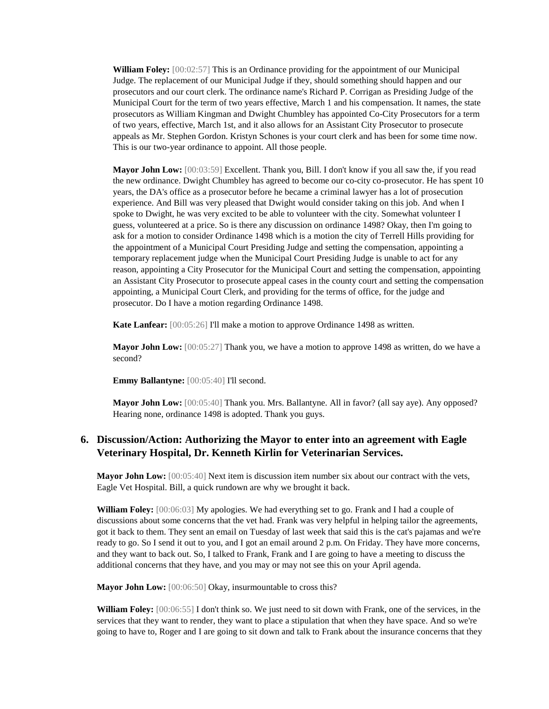**William Foley:** [00:02:57] This is an Ordinance providing for the appointment of our Municipal Judge. The replacement of our Municipal Judge if they, should something should happen and our prosecutors and our court clerk. The ordinance name's Richard P. Corrigan as Presiding Judge of the Municipal Court for the term of two years effective, March 1 and his compensation. It names, the state prosecutors as William Kingman and Dwight Chumbley has appointed Co-City Prosecutors for a term of two years, effective, March 1st, and it also allows for an Assistant City Prosecutor to prosecute appeals as Mr. Stephen Gordon. Kristyn Schones is your court clerk and has been for some time now. This is our two-year ordinance to appoint. All those people.

**Mayor John Low:** [00:03:59] Excellent. Thank you, Bill. I don't know if you all saw the, if you read the new ordinance. Dwight Chumbley has agreed to become our co-city co-prosecutor. He has spent 10 years, the DA's office as a prosecutor before he became a criminal lawyer has a lot of prosecution experience. And Bill was very pleased that Dwight would consider taking on this job. And when I spoke to Dwight, he was very excited to be able to volunteer with the city. Somewhat volunteer I guess, volunteered at a price. So is there any discussion on ordinance 1498? Okay, then I'm going to ask for a motion to consider Ordinance 1498 which is a motion the city of Terrell Hills providing for the appointment of a Municipal Court Presiding Judge and setting the compensation, appointing a temporary replacement judge when the Municipal Court Presiding Judge is unable to act for any reason, appointing a City Prosecutor for the Municipal Court and setting the compensation, appointing an Assistant City Prosecutor to prosecute appeal cases in the county court and setting the compensation appointing, a Municipal Court Clerk, and providing for the terms of office, for the judge and prosecutor. Do I have a motion regarding Ordinance 1498.

**Kate Lanfear:** [00:05:26] I'll make a motion to approve Ordinance 1498 as written.

**Mayor John Low:** [00:05:27] Thank you, we have a motion to approve 1498 as written, do we have a second?

**Emmy Ballantyne:** [00:05:40] I'll second.

**Mayor John Low:** [00:05:40] Thank you. Mrs. Ballantyne. All in favor? (all say aye). Any opposed? Hearing none, ordinance 1498 is adopted. Thank you guys.

## **6. Discussion/Action: Authorizing the Mayor to enter into an agreement with Eagle Veterinary Hospital, Dr. Kenneth Kirlin for Veterinarian Services.**

**Mayor John Low:** [00:05:40] Next item is discussion item number six about our contract with the vets, Eagle Vet Hospital. Bill, a quick rundown are why we brought it back.

**William Foley:** [00:06:03] My apologies. We had everything set to go. Frank and I had a couple of discussions about some concerns that the vet had. Frank was very helpful in helping tailor the agreements, got it back to them. They sent an email on Tuesday of last week that said this is the cat's pajamas and we're ready to go. So I send it out to you, and I got an email around 2 p.m. On Friday. They have more concerns, and they want to back out. So, I talked to Frank, Frank and I are going to have a meeting to discuss the additional concerns that they have, and you may or may not see this on your April agenda.

**Mayor John Low:** [00:06:50] Okay, insurmountable to cross this?

**William Foley:** [00:06:55] I don't think so. We just need to sit down with Frank, one of the services, in the services that they want to render, they want to place a stipulation that when they have space. And so we're going to have to, Roger and I are going to sit down and talk to Frank about the insurance concerns that they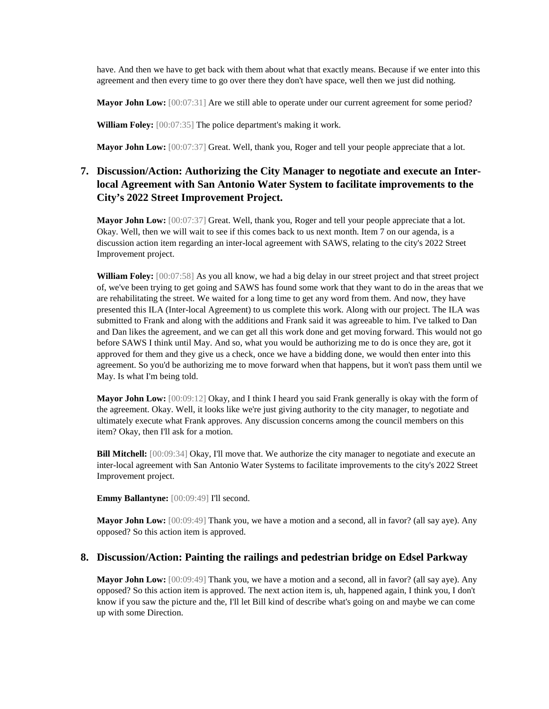have. And then we have to get back with them about what that exactly means. Because if we enter into this agreement and then every time to go over there they don't have space, well then we just did nothing.

**Mayor John Low:** [00:07:31] Are we still able to operate under our current agreement for some period?

**William Foley:** [00:07:35] The police department's making it work.

**Mayor John Low:** [00:07:37] Great. Well, thank you, Roger and tell your people appreciate that a lot.

# **7. Discussion/Action: Authorizing the City Manager to negotiate and execute an Interlocal Agreement with San Antonio Water System to facilitate improvements to the City's 2022 Street Improvement Project.**

**Mayor John Low:** [00:07:37] Great. Well, thank you, Roger and tell your people appreciate that a lot. Okay. Well, then we will wait to see if this comes back to us next month. Item 7 on our agenda, is a discussion action item regarding an inter-local agreement with SAWS, relating to the city's 2022 Street Improvement project.

**William Foley:** [00:07:58] As you all know, we had a big delay in our street project and that street project of, we've been trying to get going and SAWS has found some work that they want to do in the areas that we are rehabilitating the street. We waited for a long time to get any word from them. And now, they have presented this ILA (Inter-local Agreement) to us complete this work. Along with our project. The ILA was submitted to Frank and along with the additions and Frank said it was agreeable to him. I've talked to Dan and Dan likes the agreement, and we can get all this work done and get moving forward. This would not go before SAWS I think until May. And so, what you would be authorizing me to do is once they are, got it approved for them and they give us a check, once we have a bidding done, we would then enter into this agreement. So you'd be authorizing me to move forward when that happens, but it won't pass them until we May. Is what I'm being told.

**Mayor John Low:** [00:09:12] Okay, and I think I heard you said Frank generally is okay with the form of the agreement. Okay. Well, it looks like we're just giving authority to the city manager, to negotiate and ultimately execute what Frank approves. Any discussion concerns among the council members on this item? Okay, then I'll ask for a motion.

**Bill Mitchell:** [00:09:34] Okay, I'll move that. We authorize the city manager to negotiate and execute an inter-local agreement with San Antonio Water Systems to facilitate improvements to the city's 2022 Street Improvement project.

**Emmy Ballantyne:** [00:09:49] I'll second.

**Mayor John Low:** [00:09:49] Thank you, we have a motion and a second, all in favor? (all say aye). Any opposed? So this action item is approved.

#### **8. Discussion/Action: Painting the railings and pedestrian bridge on Edsel Parkway**

**Mayor John Low:** [00:09:49] Thank you, we have a motion and a second, all in favor? (all say aye). Any opposed? So this action item is approved. The next action item is, uh, happened again, I think you, I don't know if you saw the picture and the, I'll let Bill kind of describe what's going on and maybe we can come up with some Direction.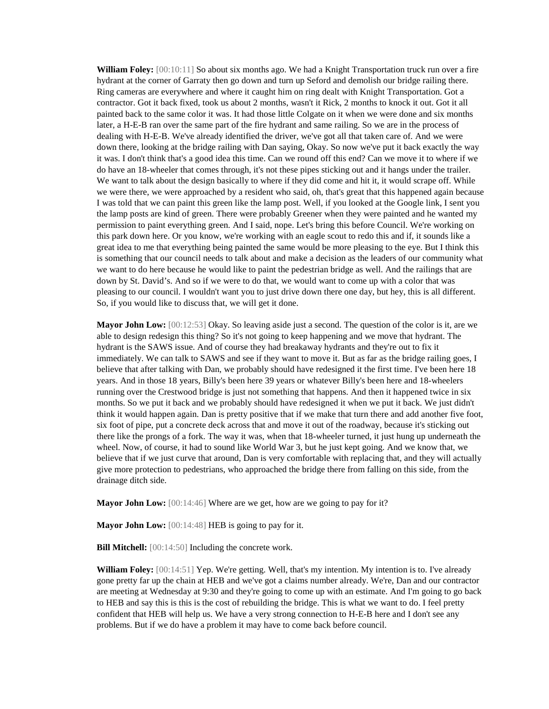William Foley: [00:10:11] So about six months ago. We had a Knight Transportation truck run over a fire hydrant at the corner of Garraty then go down and turn up Seford and demolish our bridge railing there. Ring cameras are everywhere and where it caught him on ring dealt with Knight Transportation. Got a contractor. Got it back fixed, took us about 2 months, wasn't it Rick, 2 months to knock it out. Got it all painted back to the same color it was. It had those little Colgate on it when we were done and six months later, a H-E-B ran over the same part of the fire hydrant and same railing. So we are in the process of dealing with H-E-B. We've already identified the driver, we've got all that taken care of. And we were down there, looking at the bridge railing with Dan saying, Okay. So now we've put it back exactly the way it was. I don't think that's a good idea this time. Can we round off this end? Can we move it to where if we do have an 18-wheeler that comes through, it's not these pipes sticking out and it hangs under the trailer. We want to talk about the design basically to where if they did come and hit it, it would scrape off. While we were there, we were approached by a resident who said, oh, that's great that this happened again because I was told that we can paint this green like the lamp post. Well, if you looked at the Google link, I sent you the lamp posts are kind of green. There were probably Greener when they were painted and he wanted my permission to paint everything green. And I said, nope. Let's bring this before Council. We're working on this park down here. Or you know, we're working with an eagle scout to redo this and if, it sounds like a great idea to me that everything being painted the same would be more pleasing to the eye. But I think this is something that our council needs to talk about and make a decision as the leaders of our community what we want to do here because he would like to paint the pedestrian bridge as well. And the railings that are down by St. David's. And so if we were to do that, we would want to come up with a color that was pleasing to our council. I wouldn't want you to just drive down there one day, but hey, this is all different. So, if you would like to discuss that, we will get it done.

**Mayor John Low:** [00:12:53] Okay. So leaving aside just a second. The question of the color is it, are we able to design redesign this thing? So it's not going to keep happening and we move that hydrant. The hydrant is the SAWS issue. And of course they had breakaway hydrants and they're out to fix it immediately. We can talk to SAWS and see if they want to move it. But as far as the bridge railing goes, I believe that after talking with Dan, we probably should have redesigned it the first time. I've been here 18 years. And in those 18 years, Billy's been here 39 years or whatever Billy's been here and 18-wheelers running over the Crestwood bridge is just not something that happens. And then it happened twice in six months. So we put it back and we probably should have redesigned it when we put it back. We just didn't think it would happen again. Dan is pretty positive that if we make that turn there and add another five foot, six foot of pipe, put a concrete deck across that and move it out of the roadway, because it's sticking out there like the prongs of a fork. The way it was, when that 18-wheeler turned, it just hung up underneath the wheel. Now, of course, it had to sound like World War 3, but he just kept going. And we know that, we believe that if we just curve that around, Dan is very comfortable with replacing that, and they will actually give more protection to pedestrians, who approached the bridge there from falling on this side, from the drainage ditch side.

**Mayor John Low:** [00:14:46] Where are we get, how are we going to pay for it?

**Mayor John Low:** [00:14:48] **HEB** is going to pay for it.

**Bill Mitchell:** [00:14:50] Including the concrete work.

**William Foley:** [00:14:51] Yep. We're getting. Well, that's my intention. My intention is to. I've already gone pretty far up the chain at HEB and we've got a claims number already. We're, Dan and our contractor are meeting at Wednesday at 9:30 and they're going to come up with an estimate. And I'm going to go back to HEB and say this is this is the cost of rebuilding the bridge. This is what we want to do. I feel pretty confident that HEB will help us. We have a very strong connection to H-E-B here and I don't see any problems. But if we do have a problem it may have to come back before council.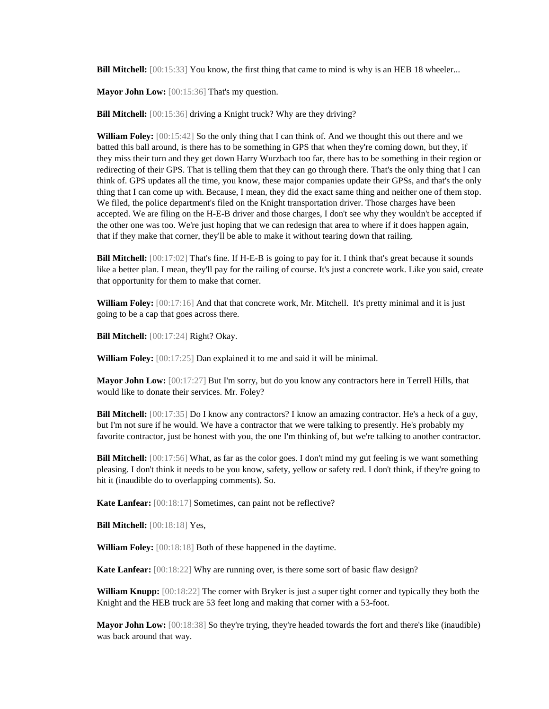**Bill Mitchell:** [00:15:33] You know, the first thing that came to mind is why is an HEB 18 wheeler...

**Mayor John Low:** [00:15:36] That's my question.

**Bill Mitchell:** [00:15:36] driving a Knight truck? Why are they driving?

**William Foley:** [00:15:42] So the only thing that I can think of. And we thought this out there and we batted this ball around, is there has to be something in GPS that when they're coming down, but they, if they miss their turn and they get down Harry Wurzbach too far, there has to be something in their region or redirecting of their GPS. That is telling them that they can go through there. That's the only thing that I can think of. GPS updates all the time, you know, these major companies update their GPSs, and that's the only thing that I can come up with. Because, I mean, they did the exact same thing and neither one of them stop. We filed, the police department's filed on the Knight transportation driver. Those charges have been accepted. We are filing on the H-E-B driver and those charges, I don't see why they wouldn't be accepted if the other one was too. We're just hoping that we can redesign that area to where if it does happen again, that if they make that corner, they'll be able to make it without tearing down that railing.

**Bill Mitchell:** [00:17:02] That's fine. If H-E-B is going to pay for it. I think that's great because it sounds like a better plan. I mean, they'll pay for the railing of course. It's just a concrete work. Like you said, create that opportunity for them to make that corner.

**William Foley:** [00:17:16] And that that concrete work, Mr. Mitchell. It's pretty minimal and it is just going to be a cap that goes across there.

**Bill Mitchell:** [00:17:24] Right? Okay.

**William Foley:** [00:17:25] Dan explained it to me and said it will be minimal.

**Mayor John Low:** [00:17:27] But I'm sorry, but do you know any contractors here in Terrell Hills, that would like to donate their services. Mr. Foley?

**Bill Mitchell:** [00:17:35] Do I know any contractors? I know an amazing contractor. He's a heck of a guy, but I'm not sure if he would. We have a contractor that we were talking to presently. He's probably my favorite contractor, just be honest with you, the one I'm thinking of, but we're talking to another contractor.

**Bill Mitchell:** [00:17:56] What, as far as the color goes. I don't mind my gut feeling is we want something pleasing. I don't think it needs to be you know, safety, yellow or safety red. I don't think, if they're going to hit it (inaudible do to overlapping comments). So.

**Kate Lanfear:** [00:18:17] Sometimes, can paint not be reflective?

**Bill Mitchell:** [00:18:18] Yes,

**William Foley:** [00:18:18] Both of these happened in the daytime.

**Kate Lanfear:** [00:18:22] Why are running over, is there some sort of basic flaw design?

**William Knupp:** [00:18:22] The corner with Bryker is just a super tight corner and typically they both the Knight and the HEB truck are 53 feet long and making that corner with a 53-foot.

**Mayor John Low:** [00:18:38] So they're trying, they're headed towards the fort and there's like (inaudible) was back around that way.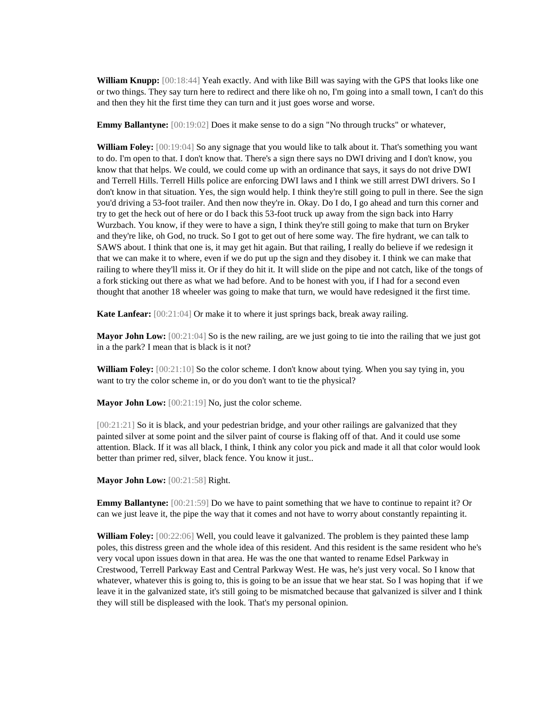**William Knupp:** [00:18:44] Yeah exactly. And with like Bill was saying with the GPS that looks like one or two things. They say turn here to redirect and there like oh no, I'm going into a small town, I can't do this and then they hit the first time they can turn and it just goes worse and worse.

**Emmy Ballantyne:**  $[00:19:02]$  Does it make sense to do a sign "No through trucks" or whatever,

**William Foley:** [00:19:04] So any signage that you would like to talk about it. That's something you want to do. I'm open to that. I don't know that. There's a sign there says no DWI driving and I don't know, you know that that helps. We could, we could come up with an ordinance that says, it says do not drive DWI and Terrell Hills. Terrell Hills police are enforcing DWI laws and I think we still arrest DWI drivers. So I don't know in that situation. Yes, the sign would help. I think they're still going to pull in there. See the sign you'd driving a 53-foot trailer. And then now they're in. Okay. Do I do, I go ahead and turn this corner and try to get the heck out of here or do I back this 53-foot truck up away from the sign back into Harry Wurzbach. You know, if they were to have a sign, I think they're still going to make that turn on Bryker and they're like, oh God, no truck. So I got to get out of here some way. The fire hydrant, we can talk to SAWS about. I think that one is, it may get hit again. But that railing, I really do believe if we redesign it that we can make it to where, even if we do put up the sign and they disobey it. I think we can make that railing to where they'll miss it. Or if they do hit it. It will slide on the pipe and not catch, like of the tongs of a fork sticking out there as what we had before. And to be honest with you, if I had for a second even thought that another 18 wheeler was going to make that turn, we would have redesigned it the first time.

**Kate Lanfear:** [00:21:04] Or make it to where it just springs back, break away railing.

**Mayor John Low:** [00:21:04] So is the new railing, are we just going to tie into the railing that we just got in a the park? I mean that is black is it not?

**William Foley:** [00:21:10] So the color scheme. I don't know about tying. When you say tying in, you want to try the color scheme in, or do you don't want to tie the physical?

**Mayor John Low:** [00:21:19] No, just the color scheme.

[00:21:21] So it is black, and your pedestrian bridge, and your other railings are galvanized that they painted silver at some point and the silver paint of course is flaking off of that. And it could use some attention. Black. If it was all black, I think, I think any color you pick and made it all that color would look better than primer red, silver, black fence. You know it just..

**Mayor John Low:** [00:21:58] Right.

**Emmy Ballantyne:**  $[00:21:59]$  Do we have to paint something that we have to continue to repaint it? Or can we just leave it, the pipe the way that it comes and not have to worry about constantly repainting it.

**William Foley:** [00:22:06] Well, you could leave it galvanized. The problem is they painted these lamp poles, this distress green and the whole idea of this resident. And this resident is the same resident who he's very vocal upon issues down in that area. He was the one that wanted to rename Edsel Parkway in Crestwood, Terrell Parkway East and Central Parkway West. He was, he's just very vocal. So I know that whatever, whatever this is going to, this is going to be an issue that we hear stat. So I was hoping that if we leave it in the galvanized state, it's still going to be mismatched because that galvanized is silver and I think they will still be displeased with the look. That's my personal opinion.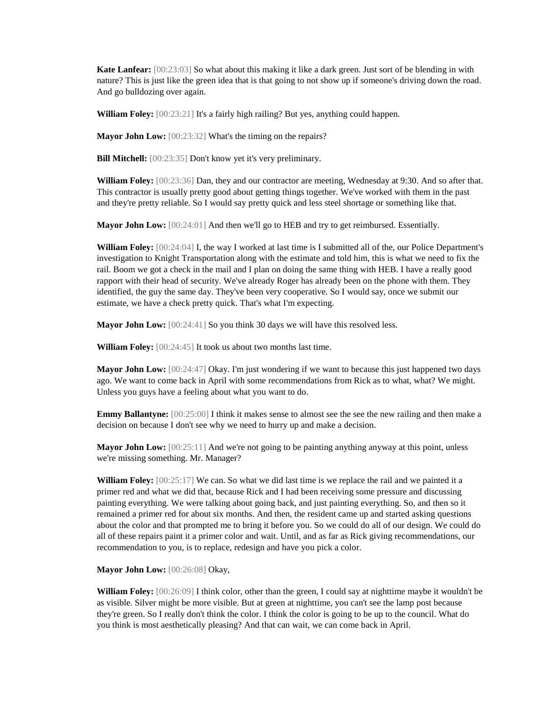**Kate Lanfear:** [00:23:03] So what about this making it like a dark green. Just sort of be blending in with nature? This is just like the green idea that is that going to not show up if someone's driving down the road. And go bulldozing over again.

**William Foley:** [00:23:21] It's a fairly high railing? But yes, anything could happen.

**Mayor John Low:** [00:23:32] What's the timing on the repairs?

**Bill Mitchell:** [00:23:35] Don't know yet it's very preliminary.

**William Foley:** [00:23:36] Dan, they and our contractor are meeting, Wednesday at 9:30. And so after that. This contractor is usually pretty good about getting things together. We've worked with them in the past and they're pretty reliable. So I would say pretty quick and less steel shortage or something like that.

**Mayor John Low:** [00:24:01] And then we'll go to HEB and try to get reimbursed. Essentially.

**William Foley:** [00:24:04] I, the way I worked at last time is I submitted all of the, our Police Department's investigation to Knight Transportation along with the estimate and told him, this is what we need to fix the rail. Boom we got a check in the mail and I plan on doing the same thing with HEB. I have a really good rapport with their head of security. We've already Roger has already been on the phone with them. They identified, the guy the same day. They've been very cooperative. So I would say, once we submit our estimate, we have a check pretty quick. That's what I'm expecting.

**Mayor John Low:** [00:24:41] So you think 30 days we will have this resolved less.

**William Foley:** [00:24:45] It took us about two months last time.

**Mayor John Low:** [00:24:47] Okay. I'm just wondering if we want to because this just happened two days ago. We want to come back in April with some recommendations from Rick as to what, what? We might. Unless you guys have a feeling about what you want to do.

**Emmy Ballantyne:**  $[00:25:00]$  I think it makes sense to almost see the see the new railing and then make a decision on because I don't see why we need to hurry up and make a decision.

**Mayor John Low:** [00:25:11] And we're not going to be painting anything anyway at this point, unless we're missing something. Mr. Manager?

**William Foley:** [00:25:17] We can. So what we did last time is we replace the rail and we painted it a primer red and what we did that, because Rick and I had been receiving some pressure and discussing painting everything. We were talking about going back, and just painting everything. So, and then so it remained a primer red for about six months. And then, the resident came up and started asking questions about the color and that prompted me to bring it before you. So we could do all of our design. We could do all of these repairs paint it a primer color and wait. Until, and as far as Rick giving recommendations, our recommendation to you, is to replace, redesign and have you pick a color.

**Mayor John Low:** [00:26:08] Okay,

**William Foley:** [00:26:09] I think color, other than the green, I could say at nighttime maybe it wouldn't be as visible. Silver might be more visible. But at green at nighttime, you can't see the lamp post because they're green. So I really don't think the color. I think the color is going to be up to the council. What do you think is most aesthetically pleasing? And that can wait, we can come back in April.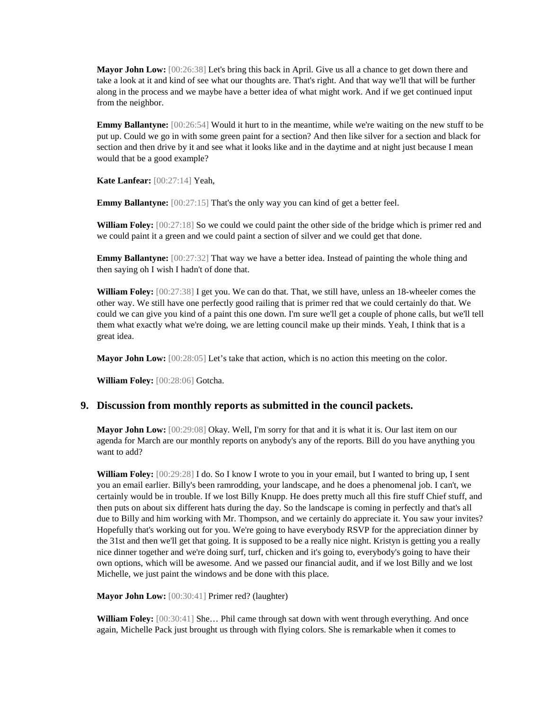**Mayor John Low:** [00:26:38] Let's bring this back in April. Give us all a chance to get down there and take a look at it and kind of see what our thoughts are. That's right. And that way we'll that will be further along in the process and we maybe have a better idea of what might work. And if we get continued input from the neighbor.

**Emmy Ballantyne:**  $[00:26:54]$  Would it hurt to in the meantime, while we're waiting on the new stuff to be put up. Could we go in with some green paint for a section? And then like silver for a section and black for section and then drive by it and see what it looks like and in the daytime and at night just because I mean would that be a good example?

**Kate Lanfear:** [00:27:14] Yeah,

**Emmy Ballantyne:** [00:27:15] That's the only way you can kind of get a better feel.

**William Foley:**  $[00:27:18]$  So we could we could paint the other side of the bridge which is primer red and we could paint it a green and we could paint a section of silver and we could get that done.

**Emmy Ballantyne:**  $[00:27:32]$  That way we have a better idea. Instead of painting the whole thing and then saying oh I wish I hadn't of done that.

**William Foley:** [00:27:38] I get you. We can do that. That, we still have, unless an 18-wheeler comes the other way. We still have one perfectly good railing that is primer red that we could certainly do that. We could we can give you kind of a paint this one down. I'm sure we'll get a couple of phone calls, but we'll tell them what exactly what we're doing, we are letting council make up their minds. Yeah, I think that is a great idea.

**Mayor John Low:** [00:28:05] Let's take that action, which is no action this meeting on the color.

**William Foley:** [00:28:06] Gotcha.

#### **9. Discussion from monthly reports as submitted in the council packets.**

**Mayor John Low:** [00:29:08] Okay. Well, I'm sorry for that and it is what it is. Our last item on our agenda for March are our monthly reports on anybody's any of the reports. Bill do you have anything you want to add?

**William Foley:** [00:29:28] I do. So I know I wrote to you in your email, but I wanted to bring up, I sent you an email earlier. Billy's been ramrodding, your landscape, and he does a phenomenal job. I can't, we certainly would be in trouble. If we lost Billy Knupp. He does pretty much all this fire stuff Chief stuff, and then puts on about six different hats during the day. So the landscape is coming in perfectly and that's all due to Billy and him working with Mr. Thompson, and we certainly do appreciate it. You saw your invites? Hopefully that's working out for you. We're going to have everybody RSVP for the appreciation dinner by the 31st and then we'll get that going. It is supposed to be a really nice night. Kristyn is getting you a really nice dinner together and we're doing surf, turf, chicken and it's going to, everybody's going to have their own options, which will be awesome. And we passed our financial audit, and if we lost Billy and we lost Michelle, we just paint the windows and be done with this place.

**Mayor John Low:** [00:30:41] Primer red? (laughter)

**William Foley:** [00:30:41] She… Phil came through sat down with went through everything. And once again, Michelle Pack just brought us through with flying colors. She is remarkable when it comes to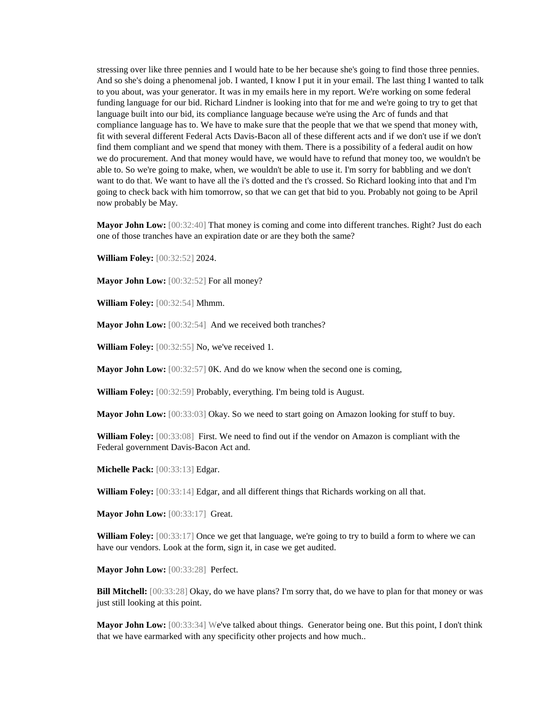stressing over like three pennies and I would hate to be her because she's going to find those three pennies. And so she's doing a phenomenal job. I wanted, I know I put it in your email. The last thing I wanted to talk to you about, was your generator. It was in my emails here in my report. We're working on some federal funding language for our bid. Richard Lindner is looking into that for me and we're going to try to get that language built into our bid, its compliance language because we're using the Arc of funds and that compliance language has to. We have to make sure that the people that we that we spend that money with, fit with several different Federal Acts Davis-Bacon all of these different acts and if we don't use if we don't find them compliant and we spend that money with them. There is a possibility of a federal audit on how we do procurement. And that money would have, we would have to refund that money too, we wouldn't be able to. So we're going to make, when, we wouldn't be able to use it. I'm sorry for babbling and we don't want to do that. We want to have all the i's dotted and the t's crossed. So Richard looking into that and I'm going to check back with him tomorrow, so that we can get that bid to you. Probably not going to be April now probably be May.

**Mayor John Low:** [00:32:40] That money is coming and come into different tranches. Right? Just do each one of those tranches have an expiration date or are they both the same?

**William Foley:** [00:32:52] 2024.

**Mayor John Low:** [00:32:52] For all money?

**William Foley:** [00:32:54] Mhmm.

**Mayor John Low:** [00:32:54] And we received both tranches?

**William Foley:** [00:32:55] No, we've received 1.

**Mayor John Low:** [00:32:57] 0K. And do we know when the second one is coming,

**William Foley:** [00:32:59] Probably, everything. I'm being told is August.

**Mayor John Low:** [00:33:03] Okay. So we need to start going on Amazon looking for stuff to buy.

**William Foley:** [00:33:08] First. We need to find out if the vendor on Amazon is compliant with the Federal government Davis-Bacon Act and.

**Michelle Pack:** [00:33:13] Edgar.

**William Foley:** [00:33:14] Edgar, and all different things that Richards working on all that.

**Mayor John Low:** [00:33:17] Great.

**William Foley:** [00:33:17] Once we get that language, we're going to try to build a form to where we can have our vendors. Look at the form, sign it, in case we get audited.

**Mayor John Low:** [00:33:28] Perfect.

**Bill Mitchell:** [00:33:28] Okay, do we have plans? I'm sorry that, do we have to plan for that money or was just still looking at this point.

**Mayor John Low:** [00:33:34] We've talked about things. Generator being one. But this point, I don't think that we have earmarked with any specificity other projects and how much..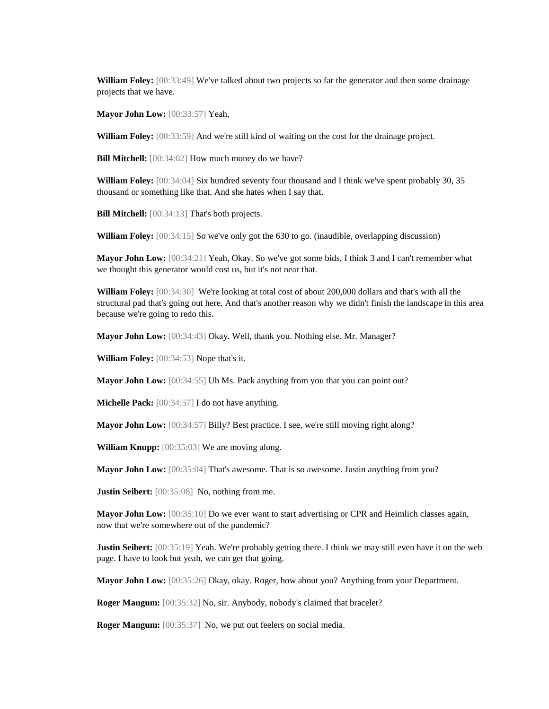**William Foley:** [00:33:49] We've talked about two projects so far the generator and then some drainage projects that we have.

**Mayor John Low:** [00:33:57] Yeah,

**William Foley:** [00:33:59] And we're still kind of waiting on the cost for the drainage project.

**Bill Mitchell:** [00:34:02] How much money do we have?

**William Foley:** [00:34:04] Six hundred seventy four thousand and I think we've spent probably 30, 35 thousand or something like that. And she hates when I say that.

**Bill Mitchell:** [00:34:13] That's both projects.

**William Foley:** [00:34:15] So we've only got the 630 to go. (inaudible, overlapping discussion)

**Mayor John Low:** [00:34:21] Yeah, Okay. So we've got some bids, I think 3 and I can't remember what we thought this generator would cost us, but it's not near that.

**William Foley:** [00:34:30] We're looking at total cost of about 200,000 dollars and that's with all the structural pad that's going out here. And that's another reason why we didn't finish the landscape in this area because we're going to redo this.

**Mayor John Low:** [00:34:43] Okay. Well, thank you. Nothing else. Mr. Manager?

**William Foley:** [00:34:53] Nope that's it.

**Mayor John Low:** [00:34:55] Uh Ms. Pack anything from you that you can point out?

**Michelle Pack:** [00:34:57] I do not have anything.

**Mayor John Low:** [00:34:57] Billy? Best practice. I see, we're still moving right along?

**William Knupp:** [00:35:03] We are moving along.

**Mayor John Low:** [00:35:04] That's awesome. That is so awesome. Justin anything from you?

**Justin Seibert:** [00:35:08] No, nothing from me.

**Mayor John Low:** [00:35:10] Do we ever want to start advertising or CPR and Heimlich classes again, now that we're somewhere out of the pandemic?

**Justin Seibert:** [00:35:19] Yeah. We're probably getting there. I think we may still even have it on the web page. I have to look but yeah, we can get that going.

**Mayor John Low:** [00:35:26] Okay, okay. Roger, how about you? Anything from your Department.

**Roger Mangum:** [00:35:32] No, sir. Anybody, nobody's claimed that bracelet?

**Roger Mangum:** [00:35:37] No, we put out feelers on social media.